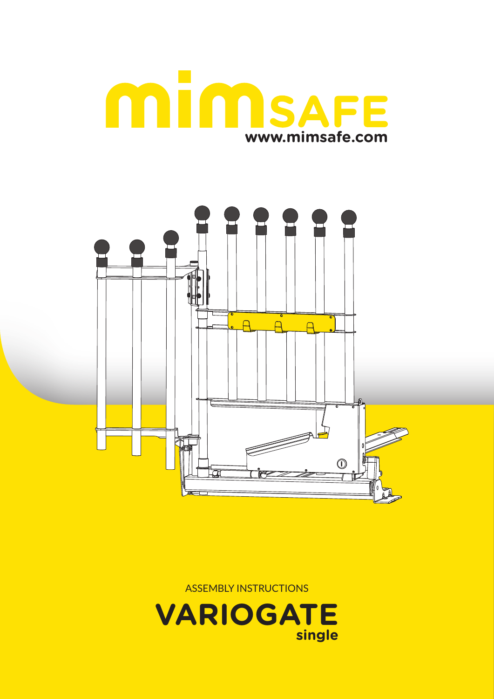





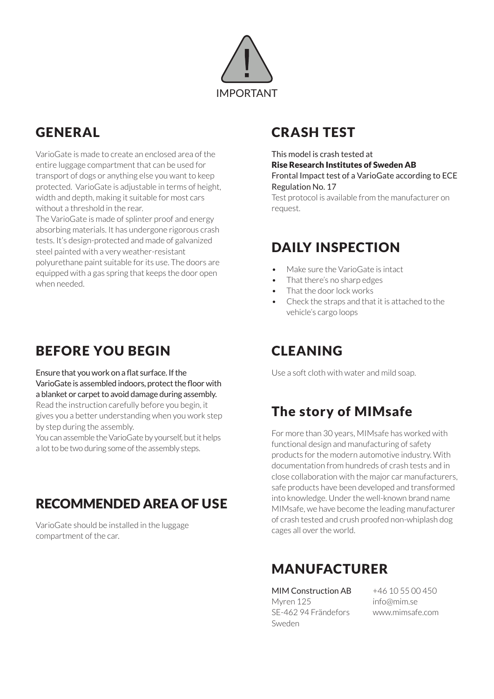

# GENERAL

VarioGate is made to create an enclosed area of the entire luggage compartment that can be used for transport of dogs or anything else you want to keep protected. VarioGate is adjustable in terms of height, width and depth, making it suitable for most cars without a threshold in the rear.

The VarioGate is made of splinter proof and energy absorbing materials. It has undergone rigorous crash tests. It's design-protected and made of galvanized steel painted with a very weather-resistant polyurethane paint suitable for its use. The doors are equipped with a gas spring that keeps the door open when needed.

## BEFORE YOU BEGIN

Ensure that you work on a flat surface. If the VarioGate is assembled indoors, protect the floor with a blanket or carpet to avoid damage during assembly.

Read the instruction carefully before you begin, it gives you a better understanding when you work step by step during the assembly.

You can assemble the VarioGate by yourself, but it helps a lot to be two during some of the assembly steps.

# RECOMMENDED AREA OF USE

VarioGate should be installed in the luggage compartment of the car.

# CRASH TEST

#### This model is crash tested at Rise Research Institutes of Sweden AB Frontal Impact test of a VarioGate according to ECE Regulation No. 17

Test protocol is available from the manufacturer on request.

### DAILY INSPECTION

- $M$ ake sure the VarioGate is intact
- That there's no sharp edges
- That the door lock works
- Check the straps and that it is attached to the vehicle's cargo loops

## CLEANING

Use a soft cloth with water and mild soap.

# The story of MIMsafe

For more than 30 years, MIMsafe has worked with functional design and manufacturing of safety products for the modern automotive industry. With documentation from hundreds of crash tests and in close collaboration with the major car manufacturers, safe products have been developed and transformed into knowledge. Under the well-known brand name MIMsafe, we have become the leading manufacturer of crash tested and crush proofed non-whiplash dog cages all over the world.

# MANUFACTURER

MIM Construction AB Myren 125 SE-462 94 Frändefors Sweden

+46 10 55 00 450 info@mim.se www.mimsafe.com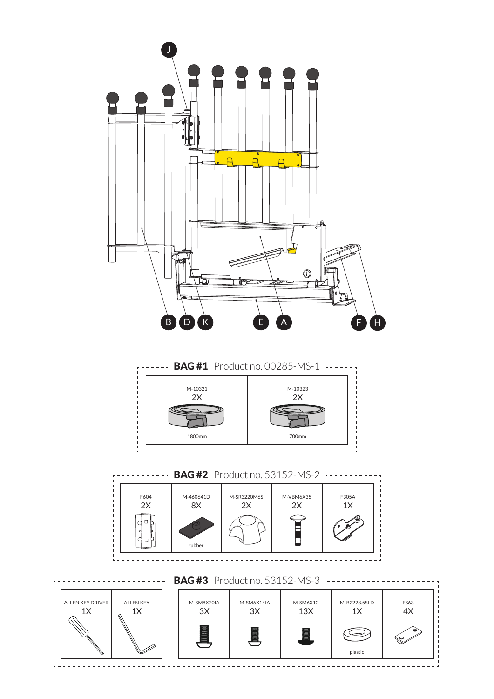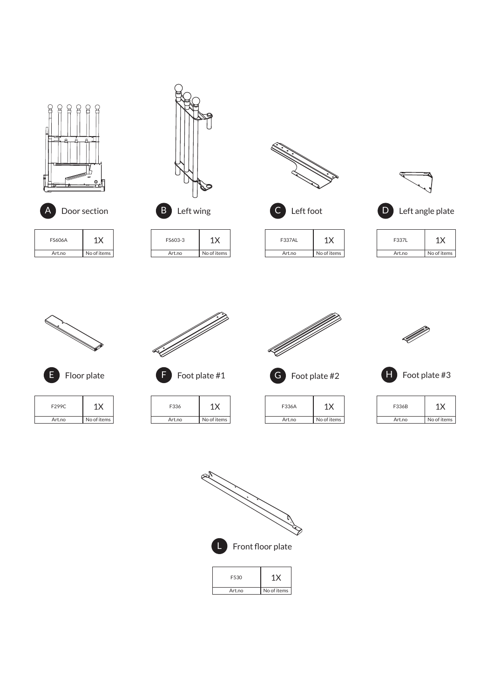



Art.no No of items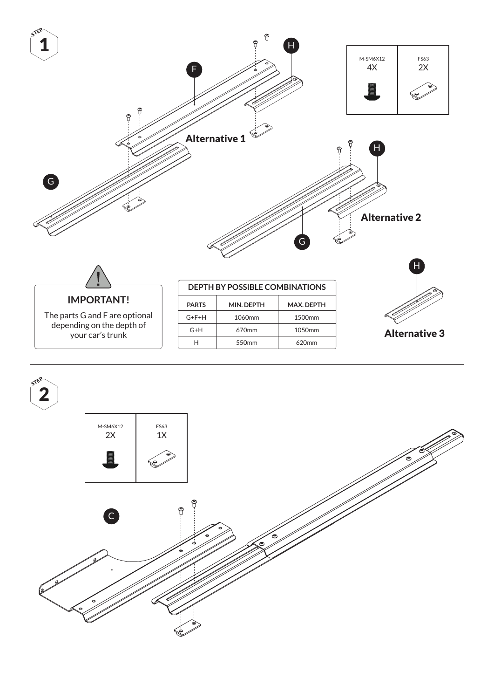

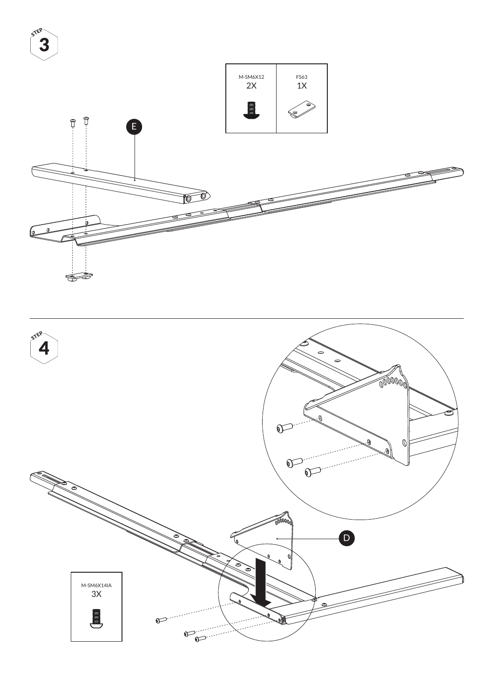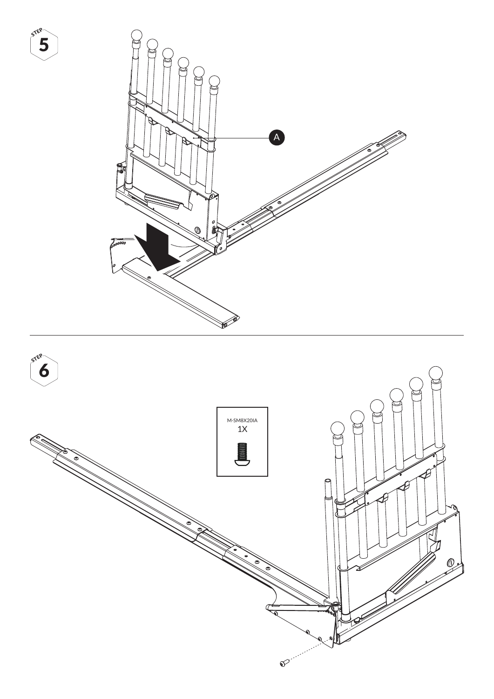

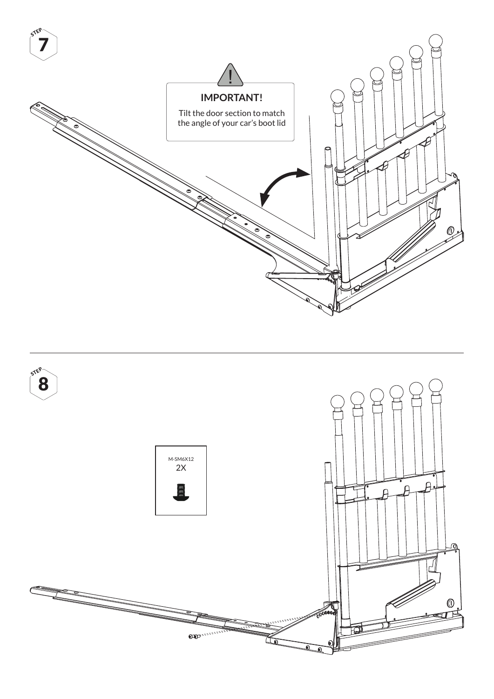

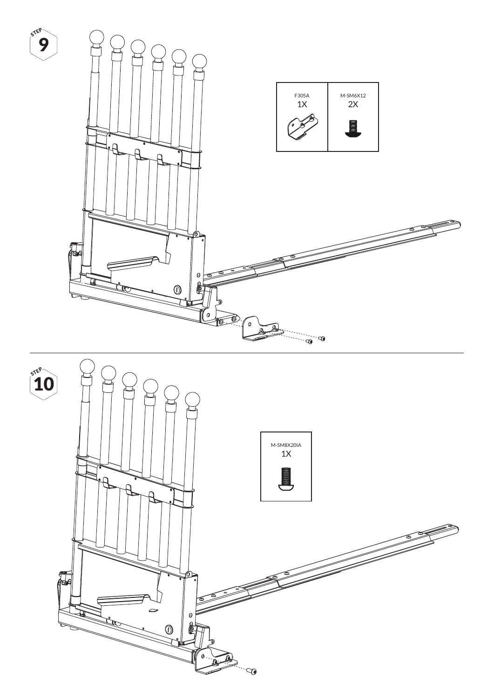

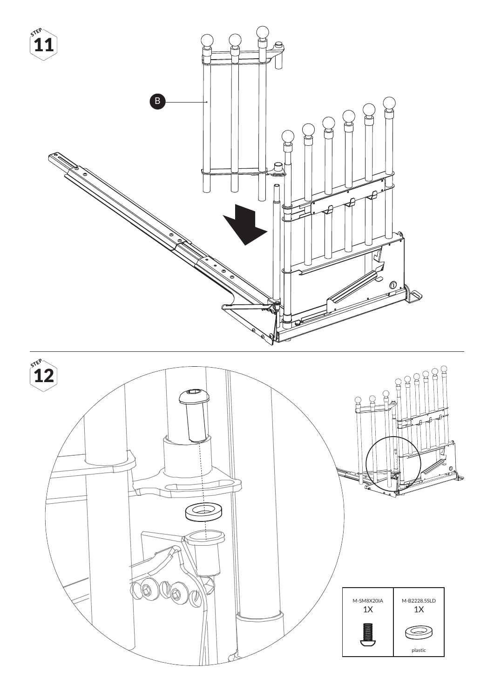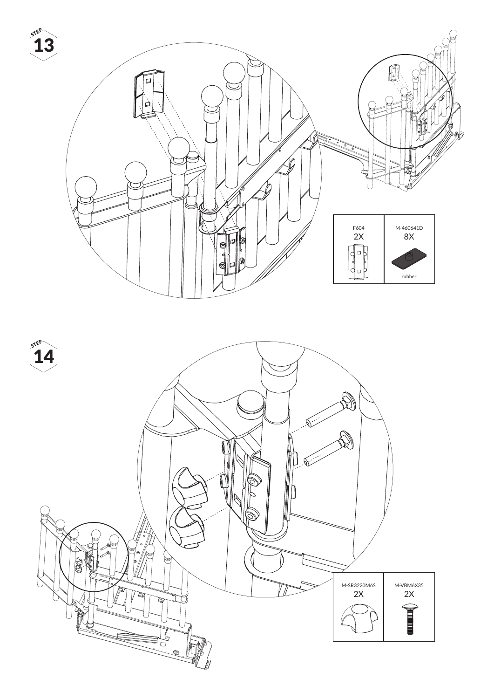![](_page_11_Picture_0.jpeg)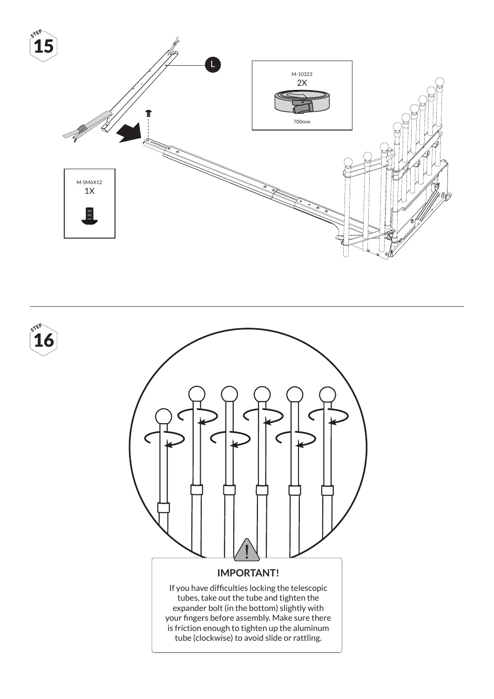![](_page_12_Figure_0.jpeg)

![](_page_12_Picture_1.jpeg)

16 **STEP**